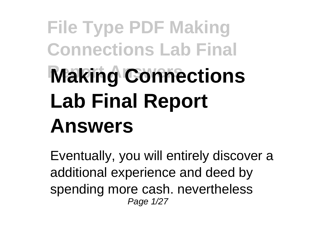# **File Type PDF Making Connections Lab Final Making Connections Lab Final Report Answers**

Eventually, you will entirely discover a additional experience and deed by spending more cash. nevertheless Page 1/27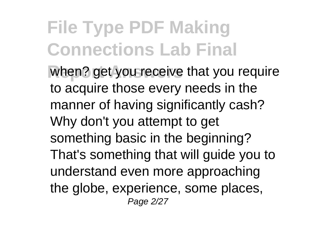**When?** get you receive that you require to acquire those every needs in the manner of having significantly cash? Why don't you attempt to get something basic in the beginning? That's something that will guide you to understand even more approaching the globe, experience, some places, Page 2/27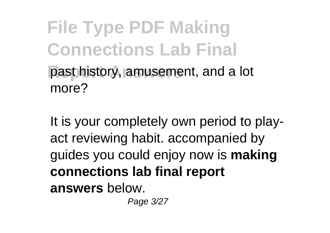**File Type PDF Making Connections Lab Final** past history, amusement, and a lot more?

It is your completely own period to playact reviewing habit. accompanied by guides you could enjoy now is **making connections lab final report answers** below.

Page 3/27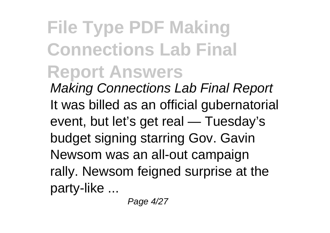#### **File Type PDF Making Connections Lab Final Report Answers** Making Connections Lab Final Report It was billed as an official gubernatorial event, but let's get real — Tuesday's budget signing starring Gov. Gavin Newsom was an all-out campaign rally. Newsom feigned surprise at the party-like ...

Page 4/27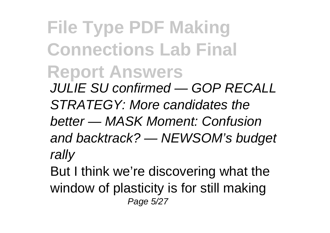**File Type PDF Making Connections Lab Final Report Answers** JULIE SU confirmed — GOP RECALL STRATEGY: More candidates the better — MASK Moment: Confusion and backtrack? — NEWSOM's budget rally

But I think we're discovering what the window of plasticity is for still making Page 5/27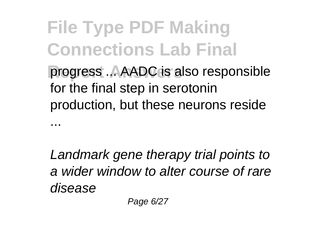...

**Report Answers** progress ... AADC is also responsible for the final step in serotonin production, but these neurons reside

Landmark gene therapy trial points to a wider window to alter course of rare disease

Page 6/27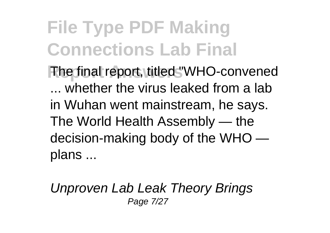**The final report, titled "WHO-convened"** ... whether the virus leaked from a lab in Wuhan went mainstream, he says. The World Health Assembly — the decision-making body of the WHO plans ...

Unproven Lab Leak Theory Brings Page 7/27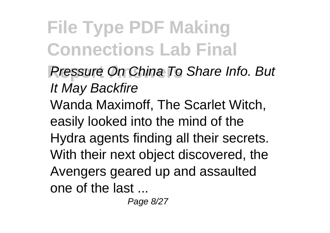- **Report Answers** Pressure On China To Share Info. But It May Backfire
- Wanda Maximoff, The Scarlet Witch, easily looked into the mind of the Hydra agents finding all their secrets. With their next object discovered, the Avengers geared up and assaulted one of the last ...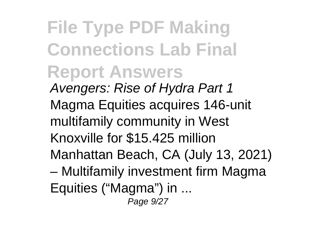**File Type PDF Making Connections Lab Final Report Answers** Avengers: Rise of Hydra Part 1 Magma Equities acquires 146-unit multifamily community in West Knoxville for \$15.425 million Manhattan Beach, CA (July 13, 2021) – Multifamily investment firm Magma Equities ("Magma") in ... Page  $9/27$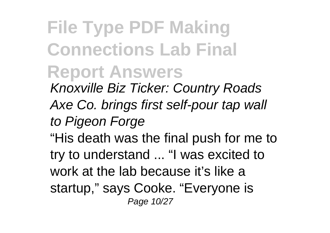**File Type PDF Making Connections Lab Final Report Answers** Knoxville Biz Ticker: Country Roads Axe Co. brings first self-pour tap wall to Pigeon Forge "His death was the final push for me to try to understand ... "I was excited to work at the lab because it's like a startup," says Cooke. "Everyone is Page 10/27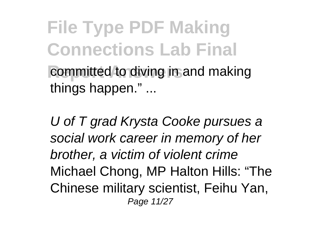**File Type PDF Making Connections Lab Final** committed to diving in and making things happen." ...

U of T grad Krysta Cooke pursues a social work career in memory of her brother, a victim of violent crime Michael Chong, MP Halton Hills: "The Chinese military scientist, Feihu Yan, Page 11/27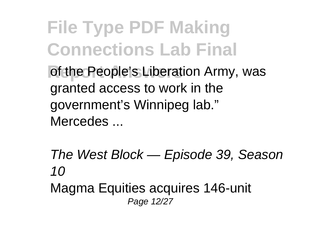**File Type PDF Making Connections Lab Final** of the People's Liberation Army, was granted access to work in the government's Winnipeg lab." Mercedes ...

The West Block — Episode 39, Season  $1<sub>0</sub>$ Magma Equities acquires 146-unit Page 12/27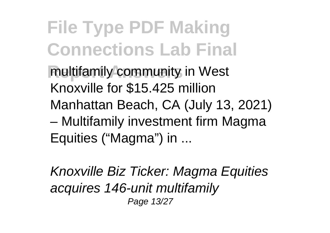**File Type PDF Making Connections Lab Final Report Analtifamily community in West** Knoxville for \$15.425 million Manhattan Beach, CA (July 13, 2021) – Multifamily investment firm Magma Equities ("Magma") in ...

Knoxville Biz Ticker: Magma Equities acquires 146-unit multifamily Page 13/27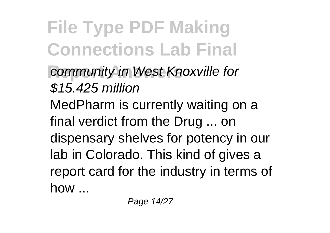**File Type PDF Making Connections Lab Final** *Community in West Knoxville for* \$15.425 million MedPharm is currently waiting on a final verdict from the Drug ... on dispensary shelves for potency in our lab in Colorado. This kind of gives a report card for the industry in terms of how ...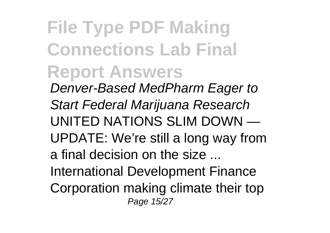**File Type PDF Making Connections Lab Final Report Answers** Denver-Based MedPharm Eager to Start Federal Marijuana Research UNITED NATIONS SLIM DOWN — UPDATE: We're still a long way from a final decision on the size  $\overline{\phantom{a}}$ International Development Finance Corporation making climate their top Page 15/27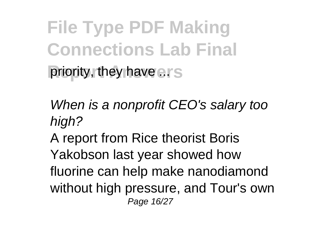**File Type PDF Making Connections Lab Final** priority, they have ers

When is a nonprofit CEO's salary too high?

A report from Rice theorist Boris Yakobson last year showed how fluorine can help make nanodiamond without high pressure, and Tour's own Page 16/27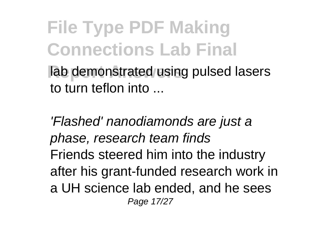**Rab demonstrated using pulsed lasers** to turn teflon into

'Flashed' nanodiamonds are just a phase, research team finds Friends steered him into the industry after his grant-funded research work in a UH science lab ended, and he sees Page 17/27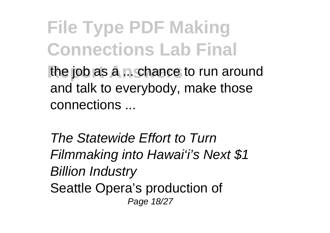the job as a n. chance to run around and talk to everybody, make those connections ...

The Statewide Effort to Turn Filmmaking into Hawai'i's Next \$1 Billion Industry Seattle Opera's production of Page 18/27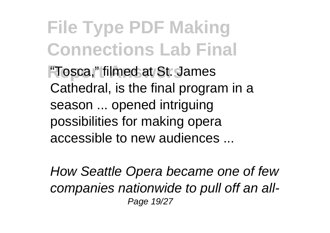**Report Answers** "Tosca," filmed at St. James Cathedral, is the final program in a season ... opened intriguing possibilities for making opera accessible to new audiences ...

How Seattle Opera became one of few companies nationwide to pull off an all-Page 19/27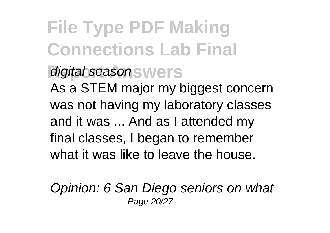#### *<u>digital season SWers</u>*

As a STEM major my biggest concern was not having my laboratory classes and it was ... And as I attended my final classes, I began to remember what it was like to leave the house.

Opinion: 6 San Diego seniors on what Page 20/27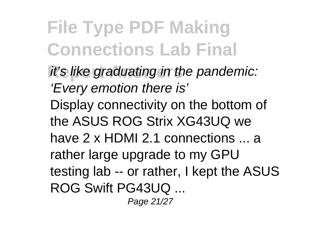**File Type PDF Making Connections Lab Final** *Report Are graduating in the pandemic:* 'Every emotion there is' Display connectivity on the bottom of the ASUS ROG Strix XG43UQ we have 2 x HDMI 2.1 connections ... a rather large upgrade to my GPU testing lab -- or rather, I kept the ASUS ROG Swift PG43UQ ...

Page 21/27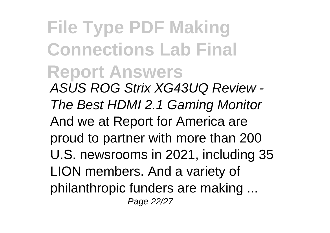**File Type PDF Making Connections Lab Final Report Answers** ASUS ROG Strix XG43UQ Review - The Best HDMI 2.1 Gaming Monitor And we at Report for America are proud to partner with more than 200 U.S. newsrooms in 2021, including 35 LION members. And a variety of philanthropic funders are making ... Page 22/27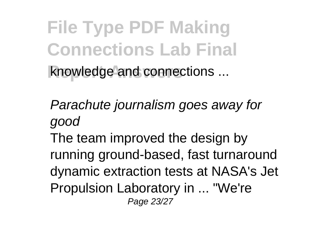**File Type PDF Making Connections Lab Final Report Answers** knowledge and connections ...

Parachute journalism goes away for good

The team improved the design by running ground-based, fast turnaround dynamic extraction tests at NASA's Jet Propulsion Laboratory in ... "We're Page 23/27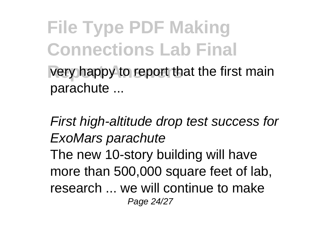very happy to report that the first main parachute ...

First high-altitude drop test success for ExoMars parachute The new 10-story building will have more than 500,000 square feet of lab, research ... we will continue to make Page 24/27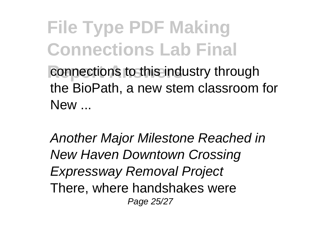connections to this industry through the BioPath, a new stem classroom for New ...

Another Major Milestone Reached in New Haven Downtown Crossing Expressway Removal Project There, where handshakes were Page 25/27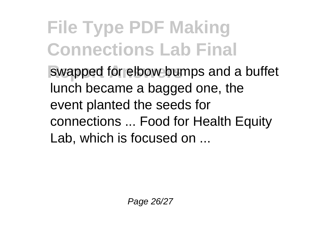**File Type PDF Making Connections Lab Final** swapped for elbow bumps and a buffet lunch became a bagged one, the event planted the seeds for connections ... Food for Health Equity Lab, which is focused on ...